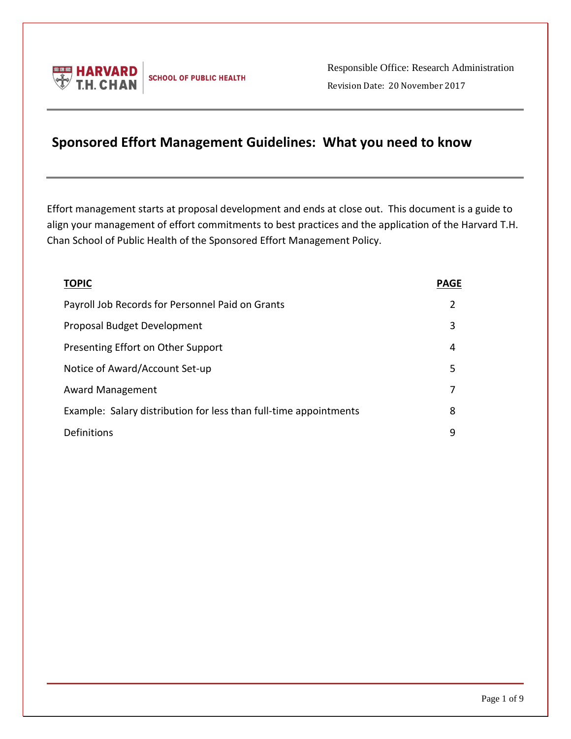

Responsible Office: Research Administration Revision Date: 20 November 2017

# **Sponsored Effort Management Guidelines: What you need to know**

Effort management starts at proposal development and ends at close out. This document is a guide to align your management of effort commitments to best practices and the application of the Harvard T.H. Chan School of Public Health of the Sponsored Effort Management Policy.

| <b>TOPIC</b>                                                      | <b>PAGE</b> |
|-------------------------------------------------------------------|-------------|
| Payroll Job Records for Personnel Paid on Grants                  | 2           |
| Proposal Budget Development                                       | 3           |
| Presenting Effort on Other Support                                | 4           |
| Notice of Award/Account Set-up                                    | 5           |
| <b>Award Management</b>                                           |             |
| Example: Salary distribution for less than full-time appointments | 8           |
| Definitions                                                       | 9           |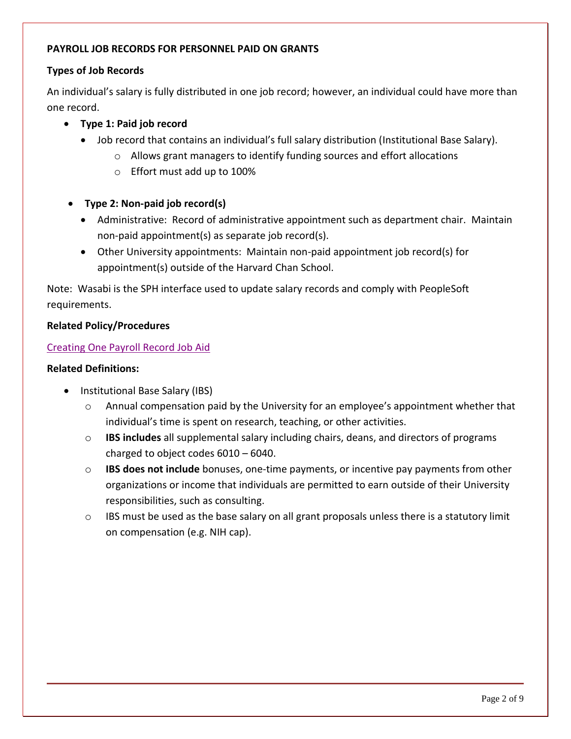# **PAYROLL JOB RECORDS FOR PERSONNEL PAID ON GRANTS**

# **Types of Job Records**

An individual's salary is fully distributed in one job record; however, an individual could have more than one record.

- **Type 1: Paid job record**
	- Job record that contains an individual's full salary distribution (Institutional Base Salary).
		- o Allows grant managers to identify funding sources and effort allocations
		- o Effort must add up to 100%
- **Type 2: Non-paid job record(s)**
	- Administrative: Record of administrative appointment such as department chair. Maintain non-paid appointment(s) as separate job record(s).
	- Other University appointments: Maintain non-paid appointment job record(s) for appointment(s) outside of the Harvard Chan School.

Note: Wasabi is the SPH interface used to update salary records and comply with PeopleSoft requirements.

## **Related Policy/Procedures**

## [Creating One Payroll Record Job Aid](https://wasabi.sph.harvard.edu/files/sph-wasabi/files/creatingonepayrollrecord.pdf)

- Institutional Base Salary (IBS)
	- $\circ$  Annual compensation paid by the University for an employee's appointment whether that individual's time is spent on research, teaching, or other activities.
	- o **IBS includes** all supplemental salary including chairs, deans, and directors of programs charged to object codes 6010 – 6040.
	- o **IBS does not include** bonuses, one-time payments, or incentive pay payments from other organizations or income that individuals are permitted to earn outside of their University responsibilities, such as consulting.
	- $\circ$  IBS must be used as the base salary on all grant proposals unless there is a statutory limit on compensation (e.g. NIH cap).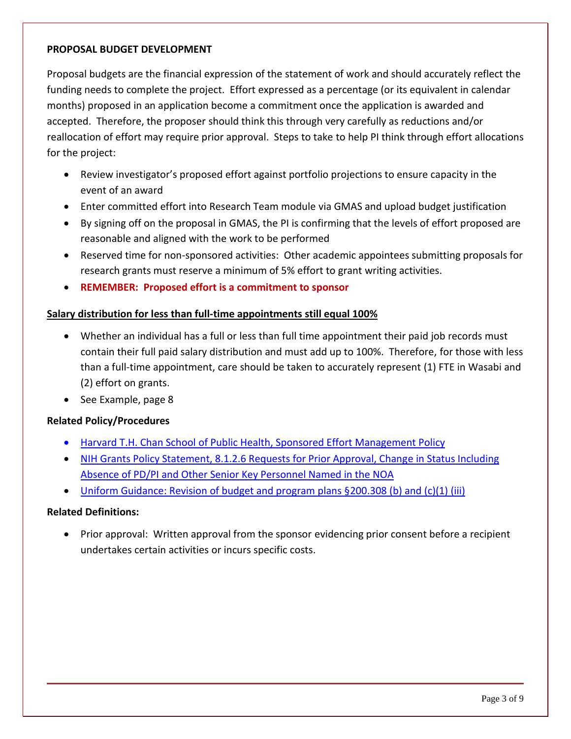#### **PROPOSAL BUDGET DEVELOPMENT**

Proposal budgets are the financial expression of the statement of work and should accurately reflect the funding needs to complete the project. Effort expressed as a percentage (or its equivalent in calendar months) proposed in an application become a commitment once the application is awarded and accepted. Therefore, the proposer should think this through very carefully as reductions and/or reallocation of effort may require prior approval. Steps to take to help PI think through effort allocations for the project:

- Review investigator's proposed effort against portfolio projections to ensure capacity in the event of an award
- Enter committed effort into Research Team module via GMAS and upload budget justification
- By signing off on the proposal in GMAS, the PI is confirming that the levels of effort proposed are reasonable and aligned with the work to be performed
- Reserved time for non-sponsored activities: Other academic appointees submitting proposals for research grants must reserve a minimum of 5% effort to grant writing activities.
- **REMEMBER: Proposed effort is a commitment to sponsor**

# **Salary distribution for less than full-time appointments still equal 100%**

- Whether an individual has a full or less than full time appointment their paid job records must contain their full paid salary distribution and must add up to 100%. Therefore, for those with less than a full-time appointment, care should be taken to accurately represent (1) FTE in Wasabi and (2) effort on grants.
- See Example, page 8

## **Related Policy/Procedures**

- Harvard T.H. Chan School [of Public Health, Sponsored Effort Management Policy](https://hcsra.sph.harvard.edu/files/hcsra/files/policy_-_sponsored_effort.pdf)
- NIH Grants Policy Statement, 8.1.2.6 Requests for Prior Approval, Change in Status Including [Absence of PD/PI and Other Senior Key Personnel Named in the NOA](https://grants.nih.gov/grants/policy/nihgps/HTML5/section_8/8.1_changes_in_project_and_budget.htm#Requests)
- [Uniform Guidance: Revision of budget and program plans §200.308 \(b\) and \(c\)\(1\) \(iii\)](https://www.gpo.gov/fdsys/pkg/CFR-2014-title2-vol1/xml/CFR-2014-title2-vol1-sec200-308.xml)

## **Related Definitions:**

• Prior approval: Written approval from the sponsor evidencing prior consent before a recipient undertakes certain activities or incurs specific costs.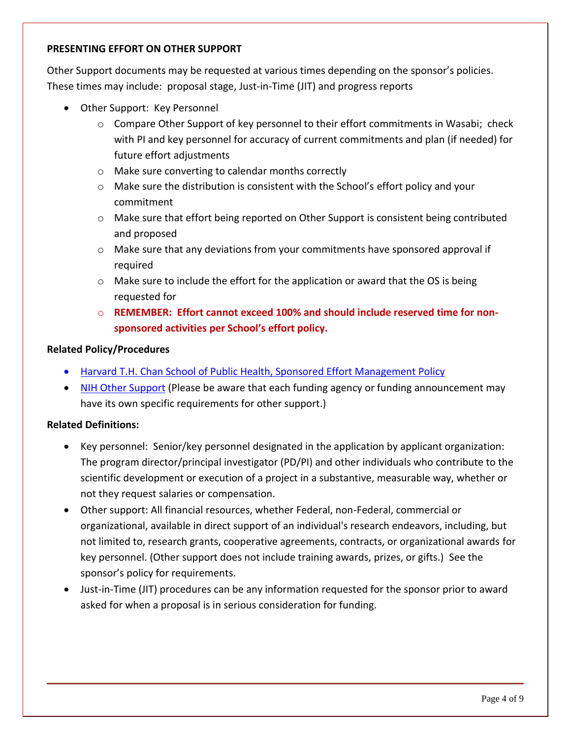## **PRESENTING EFFORT ON OTHER SUPPORT**

Other Support documents may be requested at various times depending on the sponsor's policies. These times may include: proposal stage, Just-in-Time (JIT) and progress reports

- Other Support: Key Personnel
	- $\circ$  Compare Other Support of key personnel to their effort commitments in Wasabi; check with PI and key personnel for accuracy of current commitments and plan (if needed) for future effort adjustments
	- o Make sure converting to calendar months correctly
	- $\circ$  Make sure the distribution is consistent with the School's effort policy and your commitment
	- o Make sure that effort being reported on Other Support is consistent being contributed and proposed
	- o Make sure that any deviations from your commitments have sponsored approval if required
	- $\circ$  Make sure to include the effort for the application or award that the OS is being requested for
	- o **REMEMBER: Effort cannot exceed 100% and should include reserved time for nonsponsored activities per School's effort policy.**

## **Related Policy/Procedures**

- [Harvard T.H. Chan School of Public Health, Sponsored Effort Management Policy](https://hcsra.sph.harvard.edu/files/hcsra/files/policy_-_sponsored_effort_-_rev_09_11_2018.pdf)
- [NIH Other Support](https://grants.nih.gov/grants/forms/othersupport.htm) (Please be aware that each funding agency or funding announcement may have its own specific requirements for other support.)

- Key personnel: Senior/key personnel designated in the application by applicant organization: The program director/principal investigator (PD/PI) and other individuals who contribute to the scientific development or execution of a project in a substantive, measurable way, whether or not they request salaries or compensation.
- Other support: All financial resources, whether Federal, non-Federal, commercial or organizational, available in direct support of an individual's research endeavors, including, but not limited to, research grants, cooperative agreements, contracts, or organizational awards for key personnel. (Other support does not include training awards, prizes, or gifts.) See the sponsor's policy for requirements.
- Just-in-Time (JIT) procedures can be any information requested for the sponsor prior to award asked for when a proposal is in serious consideration for funding.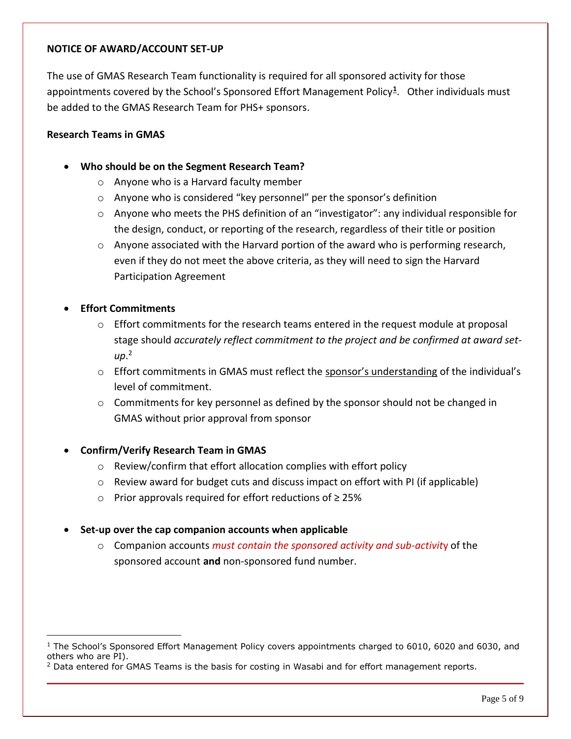#### **NOTICE OF AWARD/ACCOUNT SET-UP**

The use of GMAS Research Team functionality is required for all sponsored activity for those appointments covered by the School's Sponsored Effort Management Policy<sup>1</sup>. Other individuals must be added to the GMAS Research Team for PHS+ sponsors.

#### **Research Teams in GMAS**

- **Who should be on the Segment Research Team?**
	- o Anyone who is a Harvard faculty member
	- o Anyone who is considered "key personnel" per the sponsor's definition
	- o Anyone who meets the PHS definition of an "investigator": any individual responsible for the design, conduct, or reporting of the research, regardless of their title or position
	- $\circ$  Anyone associated with the Harvard portion of the award who is performing research, even if they do not meet the above criteria, as they will need to sign the Harvard Participation Agreement

## **Effort Commitments**

 $\overline{a}$ 

- $\circ$  Effort commitments for the research teams entered in the request module at proposal stage should *accurately reflect commitment to the project and be confirmed at award setup*. 2
- $\circ$  Effort commitments in GMAS must reflect the sponsor's understanding of the individual's level of commitment.
- $\circ$  Commitments for key personnel as defined by the sponsor should not be changed in GMAS without prior approval from sponsor

## **Confirm/Verify Research Team in GMAS**

- o Review/confirm that effort allocation complies with effort policy
- o Review award for budget cuts and discuss impact on effort with PI (if applicable)
- o Prior approvals required for effort reductions of ≥ 25%

#### **Set-up over the cap companion accounts when applicable**

o Companion accounts *must contain the sponsored activity and sub-activit*y of the sponsored account **and** non-sponsored fund number.

 $1$  The School's Sponsored Effort Management Policy covers appointments charged to 6010, 6020 and 6030, and others who are PI).

<sup>&</sup>lt;sup>2</sup> Data entered for GMAS Teams is the basis for costing in Wasabi and for effort management reports.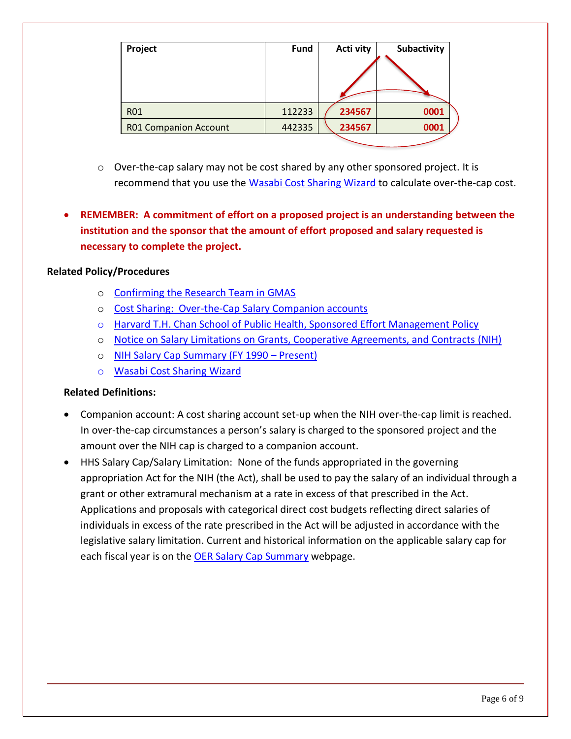| Project                      | <b>Fund</b> | Acti vity | Subactivity |
|------------------------------|-------------|-----------|-------------|
|                              |             |           |             |
| <b>R01</b>                   | 112233      | 234567    | 0001        |
| <b>R01 Companion Account</b> | 442335      | 234567    | 0001        |
|                              |             |           |             |

- $\circ$  Over-the-cap salary may not be cost shared by any other sponsored project. It is recommend that you use the [Wasabi Cost Sharing Wizard](https://wasabi.sph.harvard.edu/files/sph-wasabi/files/costsharingwizard.pdf) to calculate over-the-cap cost.
- **REMEMBER: A commitment of effort on a proposed project is an understanding between the institution and the sponsor that the amount of effort proposed and salary requested is necessary to complete the project.**

## **Related Policy/Procedures**

- o [Confirming the Research Team in GMAS](https://gmas.fss.harvard.edu/confirming-research-team-gmas)
- o [Cost Sharing: Over-the-Cap Salary Companion accounts](https://osp.finance.harvard.edu/cost-sharing-policy)
- o Harvard T.H. Chan School of Public [Health, Sponsored Effort Management Policy](https://hcsra.sph.harvard.edu/files/hcsra/files/policy_-_sponsored_effort_-_rev_09_11_2018.pdf)
- o [Notice on Salary Limitations on Grants, Cooperative Agreements, and Contracts](https://grants.nih.gov/grants/guide/notice-files/NOT-OD-14-052.html) (NIH)
- o [NIH Salary Cap Summary \(FY 1990](https://grants.nih.gov/grants/policy/salcap_summary.htm)  Present)
- o [Wasabi Cost Sharing Wizard](https://wasabi.sph.harvard.edu/files/sph-wasabi/files/costsharingwizard.pdf)

- Companion account: A cost sharing account set-up when the NIH over-the-cap limit is reached. In over-the-cap circumstances a person's salary is charged to the sponsored project and the amount over the NIH cap is charged to a companion account.
- HHS Salary Cap/Salary Limitation: None of the funds appropriated in the governing appropriation Act for the NIH (the Act), shall be used to pay the salary of an individual through a grant or other extramural mechanism at a rate in excess of that prescribed in the Act. Applications and proposals with categorical direct cost budgets reflecting direct salaries of individuals in excess of the rate prescribed in the Act will be adjusted in accordance with the legislative salary limitation. Current and historical information on the applicable salary cap for each fiscal year is on the [OER Salary](http://grants.nih.gov/grants/policy/salcap_summary.htm) Cap Summary webpage.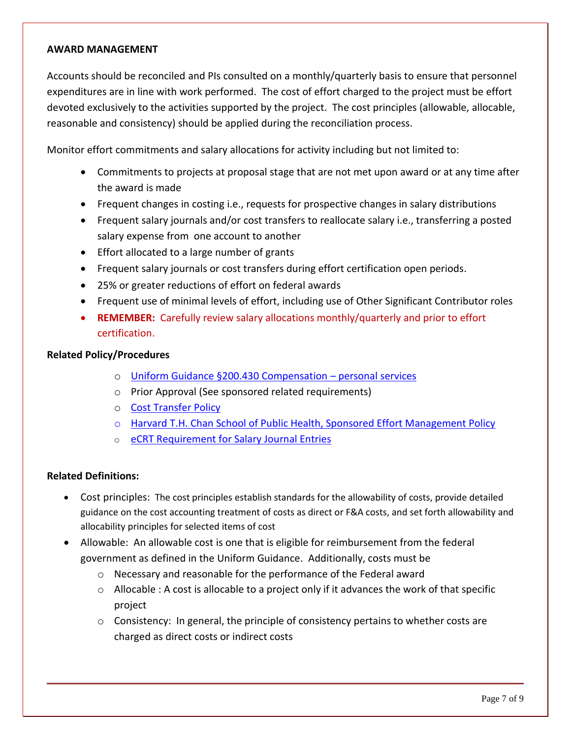#### **AWARD MANAGEMENT**

Accounts should be reconciled and PIs consulted on a monthly/quarterly basis to ensure that personnel expenditures are in line with work performed. The cost of effort charged to the project must be effort devoted exclusively to the activities supported by the project. The cost principles (allowable, allocable, reasonable and consistency) should be applied during the reconciliation process.

Monitor effort commitments and salary allocations for activity including but not limited to:

- Commitments to projects at proposal stage that are not met upon award or at any time after the award is made
- Frequent changes in costing i.e., requests for prospective changes in salary distributions
- Frequent salary journals and/or cost transfers to reallocate salary i.e., transferring a posted salary expense from one account to another
- Effort allocated to a large number of grants
- Frequent salary journals or cost transfers during effort certification open periods.
- 25% or greater reductions of effort on federal awards
- Frequent use of minimal levels of effort, including use of Other Significant Contributor roles
- **REMEMBER:** Carefully review salary allocations monthly/quarterly and prior to effort certification.

#### **Related Policy/Procedures**

- o [Uniform Guidance §200.430 Compensation](https://www.ecfr.gov/cgi-bin/text-idx?node=se2.1.200_1430&rgn=div8)  personal services
- o Prior Approval (See sponsored related requirements)
- o [Cost Transfer Policy](https://osp.finance.harvard.edu/cost-transfer-policy)
- o [Harvard T.H. Chan School of Public Health, Sponsored Effort Management Policy](https://hcsra.sph.harvard.edu/files/hcsra/files/policy_-_sponsored_effort_-_rev_09_11_2018.pdf)
- o eCRT [Requirement for Salary Journal Entries](https://osp.finance.harvard.edu/blog/new-ecrt-requirement-salary-journal-entries)

- Cost principles: The cost principles establish standards for the allowability of costs, provide detailed guidance on the cost accounting treatment of costs as direct or F&A costs, and set forth allowability and allocability principles for selected items of cost
- Allowable: An allowable cost is one that is eligible for reimbursement from the federal government as defined in the Uniform Guidance. Additionally, costs must be
	- o Necessary and reasonable for the performance of the Federal award
	- $\circ$  Allocable : A cost is allocable to a project only if it advances the work of that specific project
	- $\circ$  Consistency: In general, the principle of consistency pertains to whether costs are charged as direct costs or indirect costs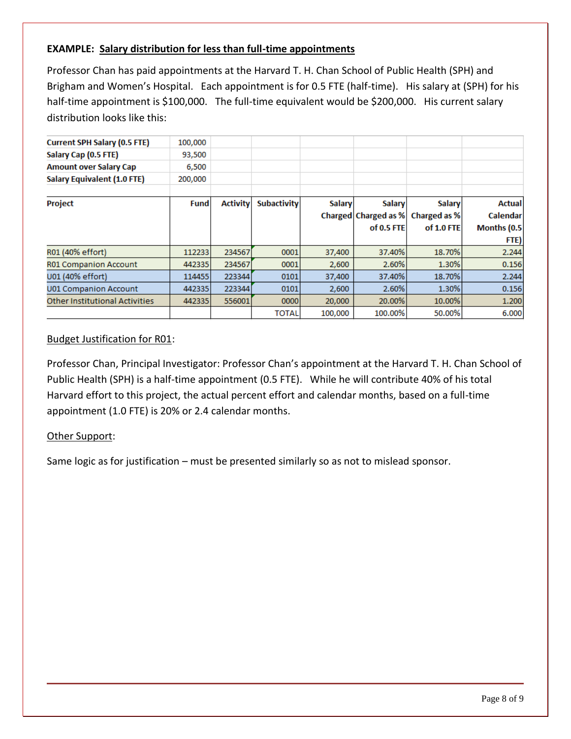# **EXAMPLE: Salary distribution for less than full-time appointments**

Professor Chan has paid appointments at the Harvard T. H. Chan School of Public Health (SPH) and Brigham and Women's Hospital. Each appointment is for 0.5 FTE (half-time). His salary at (SPH) for his half-time appointment is \$100,000. The full-time equivalent would be \$200,000. His current salary distribution looks like this:

| <b>Current SPH Salary (0.5 FTE)</b>   | 100,000     |                 |                    |               |                      |               |                 |
|---------------------------------------|-------------|-----------------|--------------------|---------------|----------------------|---------------|-----------------|
| Salary Cap (0.5 FTE)                  | 93,500      |                 |                    |               |                      |               |                 |
| <b>Amount over Salary Cap</b>         | 6,500       |                 |                    |               |                      |               |                 |
| <b>Salary Equivalent (1.0 FTE)</b>    | 200,000     |                 |                    |               |                      |               |                 |
| Project                               | <b>Fund</b> | <b>Activity</b> | <b>Subactivity</b> | <b>Salary</b> | <b>Salary</b>        | <b>Salary</b> | <b>Actual</b>   |
|                                       |             |                 |                    |               | Charged Charged as % | Charged as %  | <b>Calendar</b> |
|                                       |             |                 |                    |               | $of 0.5$ FTE         | of 1.0 FTE    | Months (0.5)    |
|                                       |             |                 |                    |               |                      |               | FTE)            |
| R01 (40% effort)                      | 112233      | 234567          | 0001               | 37,400        | 37.40%               | 18.70%        | 2.244           |
| <b>R01 Companion Account</b>          | 442335      | 234567          | 0001               | 2,600         | 2.60%                | 1.30%         | 0.156           |
| U01 (40% effort)                      | 114455      | 223344          | 0101               | 37,400        | 37.40%               | 18.70%        | 2.244           |
| <b>U01 Companion Account</b>          | 442335      | 223344          | 0101               | 2,600         | 2.60%                | 1.30%         | 0.156           |
| <b>Other Institutional Activities</b> | 442335      | 556001          | 0000               | 20,000        | 20.00%               | 10.00%        | 1.200           |
|                                       |             |                 | <b>TOTAL</b>       | 100,000       | 100.00%              | 50.00%        | 6.000           |
|                                       |             |                 |                    |               |                      |               |                 |

## Budget Justification for R01:

Professor Chan, Principal Investigator: Professor Chan's appointment at the Harvard T. H. Chan School of Public Health (SPH) is a half-time appointment (0.5 FTE). While he will contribute 40% of his total Harvard effort to this project, the actual percent effort and calendar months, based on a full-time appointment (1.0 FTE) is 20% or 2.4 calendar months.

## Other Support:

Same logic as for justification – must be presented similarly so as not to mislead sponsor.